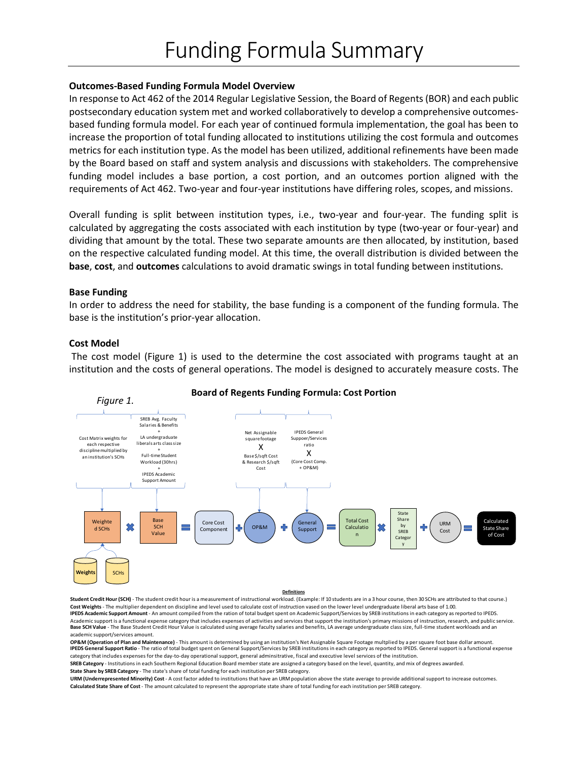### **Outcomes-Based Funding Formula Model Overview**

In response to Act 462 of the 2014 Regular Legislative Session, the Board of Regents (BOR) and each public postsecondary education system met and worked collaboratively to develop a comprehensive outcomesbased funding formula model. For each year of continued formula implementation, the goal has been to increase the proportion of total funding allocated to institutions utilizing the cost formula and outcomes metrics for each institution type. As the model has been utilized, additional refinements have been made by the Board based on staff and system analysis and discussions with stakeholders. The comprehensive funding model includes a base portion, a cost portion, and an outcomes portion aligned with the requirements of Act 462. Two-year and four-year institutions have differing roles, scopes, and missions.

Overall funding is split between institution types, i.e., two-year and four-year. The funding split is calculated by aggregating the costs associated with each institution by type (two-year or four-year) and dividing that amount by the total. These two separate amounts are then allocated, by institution, based on the respective calculated funding model. At this time, the overall distribution is divided between the **base**, **cost**, and **outcomes** calculations to avoid dramatic swings in total funding between institutions.

#### **Base Funding**

In order to address the need for stability, the base funding is a component of the funding formula. The base is the institution's prior-year allocation.

### **Cost Model**

The cost model (Figure 1) is used to the determine the cost associated with programs taught at an institution and the costs of general operations. The model is designed to accurately measure costs. The



### **Board of Regents Funding Formula: Cost Portion**

#### **Definitions**

Student Credit Hour (SCH) - The student credit hour is a measurement of instructional workload. (Example: If 10 students are in a 3 hour course, then 30 SCHs are attributed to that course.) **Cost Weights** - The multiplier dependent on discipline and level used to calculate cost of instruction vased on the lower level undergraduate liberal arts base of 1.00. **IPEDS Academic Support Amount** - An amount compiled from the ration of total budget spent on Academic Support/Services by SREB institutions in each category as reported to IPEDS. Academic support is a functional expense category that includes expenses of activities and services that support the institution's primary missions of instruction, research, and public service. Base SCH Value - The Base Student Credit Hour Value is calculated using average faculty salaries and benefits, LA average undergraduate class size, full-time student workloads and an academic support/services amount.

**OP&M (Operation of Plan and Maintenance)** - This amount is determined by using an institution's Net Assignable Square Footage multplied by a per square foot base dollar amount. **IPEDS General Support Ratio** - The ratio of total budget spent on General Support/Services by SREB institutions in each category as reported to IPEDS. General support is a functional expense category that includes expenses for the day-to-day operational support, general adminsitrative, fiscal and executive level services of the institution. **SREB Category** - Institutions in each Southern Regional Education Board member state are assigned a category based on the level, quantity, and mix of degrees awarded.

**State Share by SREB Category** - The state's share of total funding for each institution per SREB category.

**Calculated State Share of Cost** - The amount calculated to represent the appropriate state share of total funding for each institution per SREB category. **URM (Underrepresented Minority) Cost** - A cost factor added to institutions that have an URM population above the state average to provide additional support to increase outcomes.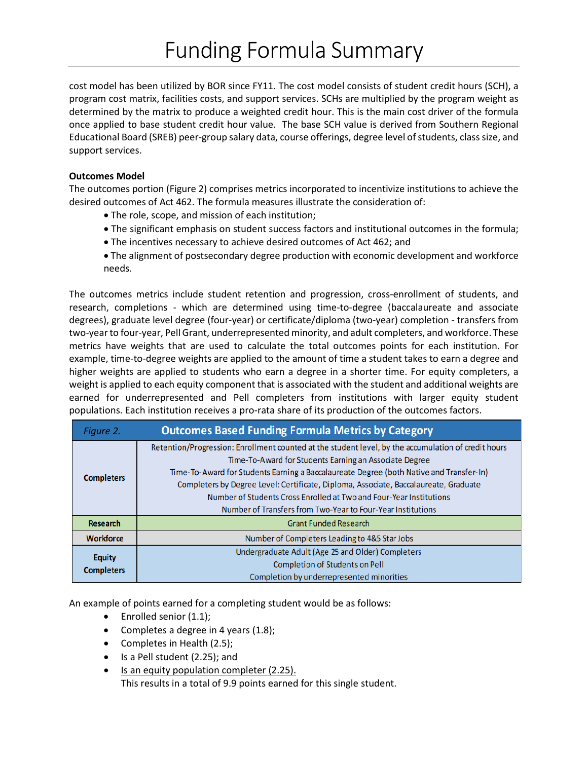cost model has been utilized by BOR since FY11. The cost model consists of student credit hours (SCH), a program cost matrix, facilities costs, and support services. SCHs are multiplied by the program weight as determined by the matrix to produce a weighted credit hour. This is the main cost driver of the formula once applied to base student credit hour value. The base SCH value is derived from Southern Regional Educational Board (SREB) peer-group salary data, course offerings, degree level of students, class size, and support services.

## **Outcomes Model**

The outcomes portion (Figure 2) comprises metrics incorporated to incentivize institutions to achieve the desired outcomes of Act 462. The formula measures illustrate the consideration of:

- The role, scope, and mission of each institution;
- The significant emphasis on student success factors and institutional outcomes in the formula;
- The incentives necessary to achieve desired outcomes of Act 462; and
- The alignment of postsecondary degree production with economic development and workforce needs.

The outcomes metrics include student retention and progression, cross-enrollment of students, and research, completions - which are determined using time-to-degree (baccalaureate and associate degrees), graduate level degree (four-year) or certificate/diploma (two-year) completion - transfers from two-year to four-year, Pell Grant, underrepresented minority, and adult completers, and workforce. These metrics have weights that are used to calculate the total outcomes points for each institution. For example, time-to-degree weights are applied to the amount of time a student takes to earn a degree and higher weights are applied to students who earn a degree in a shorter time. For equity completers, a weight is applied to each equity component that is associated with the student and additional weights are earned for underrepresented and Pell completers from institutions with larger equity student populations. Each institution receives a pro-rata share of its production of the outcomes factors.

| Figure 2.                          | <b>Outcomes Based Funding Formula Metrics by Category</b>                                                                                                                                                                                                                                                                                                                                                                                                                              |
|------------------------------------|----------------------------------------------------------------------------------------------------------------------------------------------------------------------------------------------------------------------------------------------------------------------------------------------------------------------------------------------------------------------------------------------------------------------------------------------------------------------------------------|
| <b>Completers</b>                  | Retention/Progression: Enrollment counted at the student level, by the accumulation of credit hours<br>Time-To-Award for Students Earning an Associate Degree<br>Time-To-Award for Students Earning a Baccalaureate Degree (both Native and Transfer-In)<br>Completers by Degree Level: Certificate, Diploma, Associate, Baccalaureate, Graduate<br>Number of Students Cross Enrolled at Two and Four-Year Institutions<br>Number of Transfers from Two-Year to Four-Year Institutions |
| <b>Research</b>                    | <b>Grant Funded Research</b>                                                                                                                                                                                                                                                                                                                                                                                                                                                           |
| <b>Workforce</b>                   | Number of Completers Leading to 4&5 Star Jobs                                                                                                                                                                                                                                                                                                                                                                                                                                          |
| <b>Equity</b><br><b>Completers</b> | Undergraduate Adult (Age 25 and Older) Completers<br>Completion of Students on Pell<br>Completion by underrepresented minorities                                                                                                                                                                                                                                                                                                                                                       |

An example of points earned for a completing student would be as follows:

- Enrolled senior (1.1);
- Completes a degree in 4 years (1.8);
- Completes in Health (2.5);
- Is a Pell student (2.25); and
- Is an equity population completer (2.25). This results in a total of 9.9 points earned for this single student.